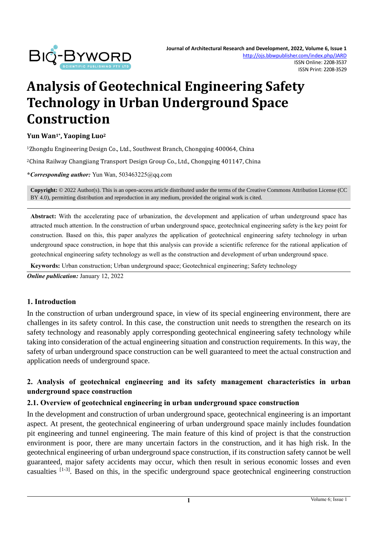

# **Analysis of Geotechnical Engineering Safety Technology in Urban Underground Space Construction**

#### **Yun Wan1\* , Yaoping Luo<sup>2</sup>**

<sup>1</sup>Zhongdu Engineering Design Co., Ltd., Southwest Branch, Chongqing 400064, China

<sup>2</sup>China Railway Changjiang Transport Design Group Co., Ltd., Chongqing 401147, China

**\****Corresponding author:* Yun Wan, 503463225@qq.com

**Copyright:** © 2022 Author(s). This is an open-access article distributed under the terms of th[e Creative Commons Attribution License \(CC](https://creativecommons.org/licenses/by/4.0/)  [BY 4.0\),](https://creativecommons.org/licenses/by/4.0/) permitting distribution and reproduction in any medium, provided the original work is cited.

**Abstract:** With the accelerating pace of urbanization, the development and application of urban underground space has attracted much attention. In the construction of urban underground space, geotechnical engineering safety is the key point for construction. Based on this, this paper analyzes the application of geotechnical engineering safety technology in urban underground space construction, in hope that this analysis can provide a scientific reference for the rational application of geotechnical engineering safety technology as well as the construction and development of urban underground space.

**Keywords:** Urban construction; Urban underground space; Geotechnical engineering; Safety technology

*Online publication:* January 12, 2022

#### **1. Introduction**

In the construction of urban underground space, in view of its special engineering environment, there are challenges in its safety control. In this case, the construction unit needs to strengthen the research on its safety technology and reasonably apply corresponding geotechnical engineering safety technology while taking into consideration of the actual engineering situation and construction requirements. In this way, the safety of urban underground space construction can be well guaranteed to meet the actual construction and application needs of underground space.

## **2. Analysis of geotechnical engineering and its safety management characteristics in urban underground space construction**

#### **2.1. Overview of geotechnical engineering in urban underground space construction**

In the development and construction of urban underground space, geotechnical engineering is an important aspect. At present, the geotechnical engineering of urban underground space mainly includes foundation pit engineering and tunnel engineering. The main feature of this kind of project is that the construction environment is poor, there are many uncertain factors in the construction, and it has high risk. In the geotechnical engineering of urban underground space construction, if its construction safety cannot be well guaranteed, major safety accidents may occur, which then result in serious economic losses and even casualties [1-3]. Based on this, in the specific underground space geotechnical engineering construction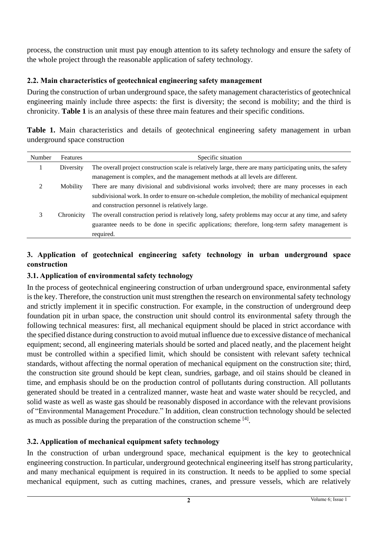process, the construction unit must pay enough attention to its safety technology and ensure the safety of the whole project through the reasonable application of safety technology.

## **2.2. Main characteristics of geotechnical engineering safety management**

During the construction of urban underground space, the safety management characteristics of geotechnical engineering mainly include three aspects: the first is diversity; the second is mobility; and the third is chronicity. **Table 1** is an analysis of these three main features and their specific conditions.

|  | Table 1. Main characteristics and details of geotechnical engineering safety management in urban |  |  |  |  |  |
|--|--------------------------------------------------------------------------------------------------|--|--|--|--|--|
|  | underground space construction                                                                   |  |  |  |  |  |

| Number | Features   | Specific situation                                                                                         |
|--------|------------|------------------------------------------------------------------------------------------------------------|
|        | Diversity  | The overall project construction scale is relatively large, there are many participating units, the safety |
|        |            | management is complex, and the management methods at all levels are different.                             |
| ∍      | Mobility   | There are many divisional and subdivisional works involved; there are many processes in each               |
|        |            | subdivisional work. In order to ensure on-schedule completion, the mobility of mechanical equipment        |
|        |            | and construction personnel is relatively large.                                                            |
| 3      | Chronicity | The overall construction period is relatively long, safety problems may occur at any time, and safety      |
|        |            | guarantee needs to be done in specific applications; therefore, long-term safety management is             |
|        |            | required.                                                                                                  |

## **3. Application of geotechnical engineering safety technology in urban underground space construction**

## **3.1. Application of environmental safety technology**

In the process of geotechnical engineering construction of urban underground space, environmental safety is the key. Therefore, the construction unit must strengthen the research on environmental safety technology and strictly implement it in specific construction. For example, in the construction of underground deep foundation pit in urban space, the construction unit should control its environmental safety through the following technical measures: first, all mechanical equipment should be placed in strict accordance with the specified distance during construction to avoid mutual influence due to excessive distance of mechanical equipment; second, all engineering materials should be sorted and placed neatly, and the placement height must be controlled within a specified limit, which should be consistent with relevant safety technical standards, without affecting the normal operation of mechanical equipment on the construction site; third, the construction site ground should be kept clean, sundries, garbage, and oil stains should be cleaned in time, and emphasis should be on the production control of pollutants during construction. All pollutants generated should be treated in a centralized manner, waste heat and waste water should be recycled, and solid waste as well as waste gas should be reasonably disposed in accordance with the relevant provisions of "Environmental Management Procedure." In addition, clean construction technology should be selected as much as possible during the preparation of the construction scheme  $^{[4]}$ .

## **3.2. Application of mechanical equipment safety technology**

In the construction of urban underground space, mechanical equipment is the key to geotechnical engineering construction. In particular, underground geotechnical engineering itself has strong particularity, and many mechanical equipment is required in its construction. It needs to be applied to some special mechanical equipment, such as cutting machines, cranes, and pressure vessels, which are relatively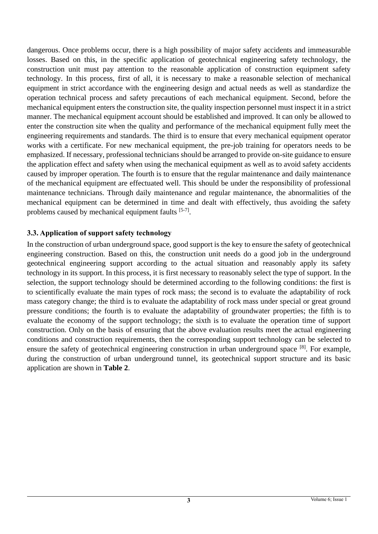dangerous. Once problems occur, there is a high possibility of major safety accidents and immeasurable losses. Based on this, in the specific application of geotechnical engineering safety technology, the construction unit must pay attention to the reasonable application of construction equipment safety technology. In this process, first of all, it is necessary to make a reasonable selection of mechanical equipment in strict accordance with the engineering design and actual needs as well as standardize the operation technical process and safety precautions of each mechanical equipment. Second, before the mechanical equipment enters the construction site, the quality inspection personnel must inspect it in a strict manner. The mechanical equipment account should be established and improved. It can only be allowed to enter the construction site when the quality and performance of the mechanical equipment fully meet the engineering requirements and standards. The third is to ensure that every mechanical equipment operator works with a certificate. For new mechanical equipment, the pre-job training for operators needs to be emphasized. If necessary, professional technicians should be arranged to provide on-site guidance to ensure the application effect and safety when using the mechanical equipment as well as to avoid safety accidents caused by improper operation. The fourth is to ensure that the regular maintenance and daily maintenance of the mechanical equipment are effectuated well. This should be under the responsibility of professional maintenance technicians. Through daily maintenance and regular maintenance, the abnormalities of the mechanical equipment can be determined in time and dealt with effectively, thus avoiding the safety problems caused by mechanical equipment faults [5-7].

## **3.3. Application of support safety technology**

In the construction of urban underground space, good support is the key to ensure the safety of geotechnical engineering construction. Based on this, the construction unit needs do a good job in the underground geotechnical engineering support according to the actual situation and reasonably apply its safety technology in its support. In this process, it is first necessary to reasonably select the type of support. In the selection, the support technology should be determined according to the following conditions: the first is to scientifically evaluate the main types of rock mass; the second is to evaluate the adaptability of rock mass category change; the third is to evaluate the adaptability of rock mass under special or great ground pressure conditions; the fourth is to evaluate the adaptability of groundwater properties; the fifth is to evaluate the economy of the support technology; the sixth is to evaluate the operation time of support construction. Only on the basis of ensuring that the above evaluation results meet the actual engineering conditions and construction requirements, then the corresponding support technology can be selected to ensure the safety of geotechnical engineering construction in urban underground space [8]. For example, during the construction of urban underground tunnel, its geotechnical support structure and its basic application are shown in **Table 2**.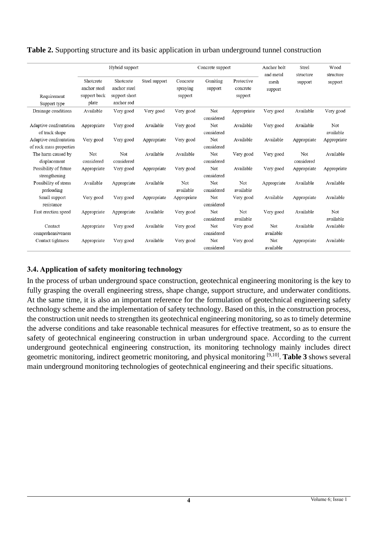|                                                   | Hybrid support                                     |                                                          |               | Concrete support                |                     |                                   | Anchor bolt<br>and metal | Steel<br>structure | Wood<br>structure |
|---------------------------------------------------|----------------------------------------------------|----------------------------------------------------------|---------------|---------------------------------|---------------------|-----------------------------------|--------------------------|--------------------|-------------------|
| Requirement                                       | Shotcrete<br>anchor steel<br>support back<br>plate | Shotcrete<br>anchor steel<br>support short<br>anchor rod | Steel support | Concrete<br>spraying<br>support | Guniting<br>support | Protective<br>concrete<br>support | mesh<br>support          | support            | support           |
| Support type<br>Drainage conditions               | Available                                          | Very good                                                | Very good     | Very good                       | Not<br>considered   | Appropriate                       | Very good                | Available          | Very good         |
| Adaptive confrontation<br>of track shape          | Appropriate                                        | Very good                                                | Available     | Very good                       | Not<br>considered   | Available                         | Very good                | Available          | Not<br>available  |
| Adaptive confrontation<br>of rock mass properties | Very good                                          | Very good                                                | Appropriate   | Very good                       | Not<br>considered   | Available                         | Available                | Appropriate        | Appropriate       |
| The harm caused by<br>displacement                | Not<br>considered                                  | Not<br>considered                                        | Available     | Available                       | Not<br>considered   | Very good                         | Very good                | Not<br>considered  | Available         |
| Possibility of future<br>strengthening            | Appropriate                                        | Very good                                                | Appropriate   | Very good                       | Not<br>considered   | Available                         | Very good                | Appropriate        | Appropriate       |
| Possibility of stress<br>preloading               | Available                                          | Appropriate                                              | Available     | Not<br>available                | Not<br>considered   | Not<br>available                  | Appropriate              | Available          | Available         |
| Small support<br>resistance                       | Very good                                          | Very good                                                | Appropriate   | Appropriate                     | Not<br>considered   | Very good                         | Available                | Appropriate        | Available         |
| Fast erection speed                               | Appropriate                                        | Appropriate                                              | Available     | Very good                       | Not<br>considered   | Not<br>available                  | Very good                | Available          | Not<br>available  |
| Contact<br>comprehensiveness                      | Appropriate                                        | Very good                                                | Available     | Very good                       | Not<br>considered   | Very good                         | Not<br>available         | Available          | Available         |
| Contact tightness                                 | Appropriate                                        | Very good                                                | Available     | Very good                       | Not<br>considered   | Very good                         | Not<br>available         | Appropriate        | Available         |

#### **Table 2.** Supporting structure and its basic application in urban underground tunnel construction

## **3.4. Application of safety monitoring technology**

In the process of urban underground space construction, geotechnical engineering monitoring is the key to fully grasping the overall engineering stress, shape change, support structure, and underwater conditions. At the same time, it is also an important reference for the formulation of geotechnical engineering safety technology scheme and the implementation of safety technology. Based on this, in the construction process, the construction unit needs to strengthen its geotechnical engineering monitoring, so as to timely determine the adverse conditions and take reasonable technical measures for effective treatment, so as to ensure the safety of geotechnical engineering construction in urban underground space. According to the current underground geotechnical engineering construction, its monitoring technology mainly includes direct geometric monitoring, indirect geometric monitoring, and physical monitoring [9,10] . **Table 3** shows several main underground monitoring technologies of geotechnical engineering and their specific situations.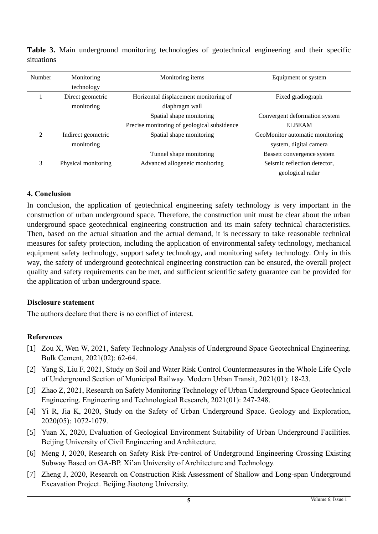| Number | Monitoring          | Monitoring items                            | Equipment or system             |  |  |  |
|--------|---------------------|---------------------------------------------|---------------------------------|--|--|--|
|        | technology          |                                             |                                 |  |  |  |
|        | Direct geometric    | Horizontal displacement monitoring of       | Fixed gradiograph               |  |  |  |
|        | monitoring          | diaphragm wall                              |                                 |  |  |  |
|        |                     | Spatial shape monitoring                    | Convergent deformation system   |  |  |  |
|        |                     | Precise monitoring of geological subsidence | <b>ELBEAM</b>                   |  |  |  |
| 2      | Indirect geometric  | Spatial shape monitoring                    | GeoMonitor automatic monitoring |  |  |  |
|        | monitoring          |                                             | system, digital camera          |  |  |  |
|        |                     | Tunnel shape monitoring                     | Bassett convergence system      |  |  |  |
| 3      | Physical monitoring | Advanced allogeneic monitoring              | Seismic reflection detector,    |  |  |  |
|        |                     |                                             | geological radar                |  |  |  |

**Table 3.** Main underground monitoring technologies of geotechnical engineering and their specific situations

## **4. Conclusion**

In conclusion, the application of geotechnical engineering safety technology is very important in the construction of urban underground space. Therefore, the construction unit must be clear about the urban underground space geotechnical engineering construction and its main safety technical characteristics. Then, based on the actual situation and the actual demand, it is necessary to take reasonable technical measures for safety protection, including the application of environmental safety technology, mechanical equipment safety technology, support safety technology, and monitoring safety technology. Only in this way, the safety of underground geotechnical engineering construction can be ensured, the overall project quality and safety requirements can be met, and sufficient scientific safety guarantee can be provided for the application of urban underground space.

## **Disclosure statement**

The authors declare that there is no conflict of interest.

## **References**

- [1] Zou X, Wen W, 2021, Safety Technology Analysis of Underground Space Geotechnical Engineering. Bulk Cement, 2021(02): 62-64.
- [2] Yang S, Liu F, 2021, Study on Soil and Water Risk Control Countermeasures in the Whole Life Cycle of Underground Section of Municipal Railway. Modern Urban Transit, 2021(01): 18-23.
- [3] Zhao Z, 2021, Research on Safety Monitoring Technology of Urban Underground Space Geotechnical Engineering. Engineering and Technological Research, 2021(01): 247-248.
- [4] Yi R, Jia K, 2020, Study on the Safety of Urban Underground Space. Geology and Exploration, 2020(05): 1072-1079.
- [5] Yuan X, 2020, Evaluation of Geological Environment Suitability of Urban Underground Facilities. Beijing University of Civil Engineering and Architecture.
- [6] Meng J, 2020, Research on Safety Risk Pre-control of Underground Engineering Crossing Existing Subway Based on GA-BP. Xi'an University of Architecture and Technology.
- [7] Zheng J, 2020, Research on Construction Risk Assessment of Shallow and Long-span Underground Excavation Project. Beijing Jiaotong University.